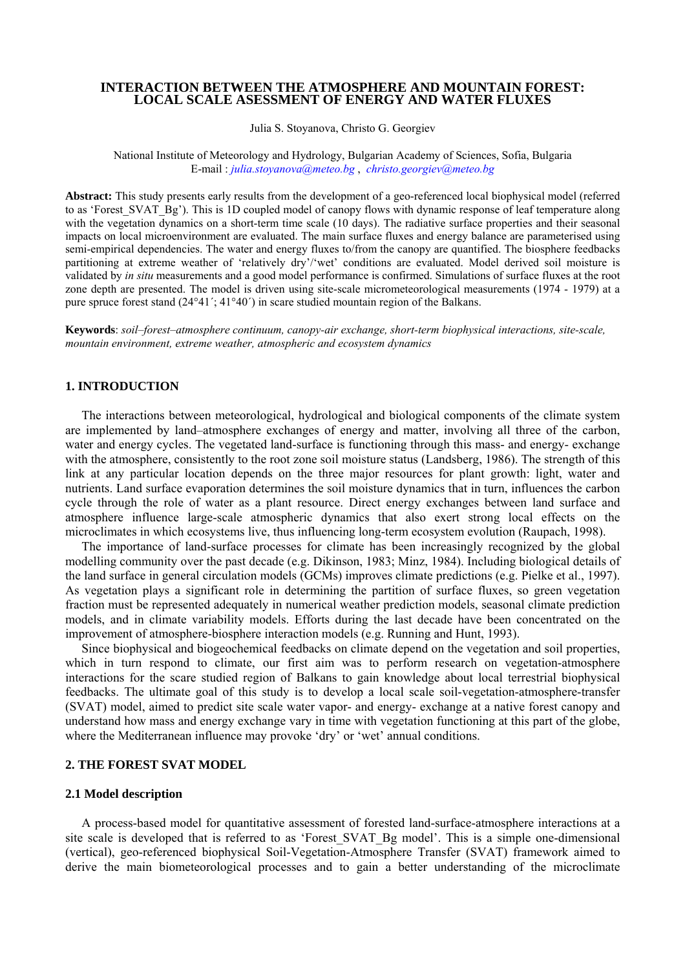## **INTERACTION BETWEEN THE ATMOSPHERE AND MOUNTAIN FOREST: LOCAL SCALE ASESSMENT OF ENERGY AND WATER FLUXES**

Julia S. Stoyanova, Christo G. Georgiev

National Institute of Meteorology and Hydrology, Bulgarian Academy of Sciences, Sofia, Bulgaria E-mail : *julia.stoyanova@meteo.bg* , *christo.georgiev@meteo.bg*

**Abstract:** This study presents early results from the development of a geo-referenced local biophysical model (referred to as 'Forest SVAT\_Bg'). This is 1D coupled model of canopy flows with dynamic response of leaf temperature along with the vegetation dynamics on a short-term time scale (10 days). The radiative surface properties and their seasonal impacts on local microenvironment are evaluated. The main surface fluxes and energy balance are parameterised using semi-empirical dependencies. The water and energy fluxes to/from the canopy are quantified. The biosphere feedbacks partitioning at extreme weather of 'relatively dry'/'wet' conditions are evaluated. Model derived soil moisture is validated by *in situ* measurements and a good model performance is confirmed. Simulations of surface fluxes at the root zone depth are presented. The model is driven using site-scale micrometeorological measurements (1974 - 1979) at a pure spruce forest stand  $(24^{\circ}41'$ ;  $41^{\circ}40'$ ) in scare studied mountain region of the Balkans.

**Keywords**: *soil–forest–atmosphere continuum, canopy-air exchange, short-term biophysical interactions, site-scale, mountain environment, extreme weather, atmospheric and ecosystem dynamics* 

# **1. INTRODUCTION**

The interactions between meteorological, hydrological and biological components of the climate system are implemented by land–atmosphere exchanges of energy and matter, involving all three of the carbon, water and energy cycles. The vegetated land-surface is functioning through this mass- and energy- exchange with the atmosphere, consistently to the root zone soil moisture status (Landsberg, 1986). The strength of this link at any particular location depends on the three major resources for plant growth: light, water and nutrients. Land surface evaporation determines the soil moisture dynamics that in turn, influences the carbon cycle through the role of water as a plant resource. Direct energy exchanges between land surface and atmosphere influence large-scale atmospheric dynamics that also exert strong local effects on the microclimates in which ecosystems live, thus influencing long-term ecosystem evolution (Raupach, 1998).

The importance of land-surface processes for climate has been increasingly recognized by the global modelling community over the past decade (e.g. Dikinson, 1983; Minz, 1984). Including biological details of the land surface in general circulation models (GCMs) improves climate predictions (e.g. Pielke et al., 1997). As vegetation plays a significant role in determining the partition of surface fluxes, so green vegetation fraction must be represented adequately in numerical weather prediction models, seasonal climate prediction models, and in climate variability models. Efforts during the last decade have been concentrated on the improvement of atmosphere-biosphere interaction models (e.g. Running and Hunt, 1993).

Since biophysical and biogeochemical feedbacks on climate depend on the vegetation and soil properties, which in turn respond to climate, our first aim was to perform research on vegetation-atmosphere interactions for the scare studied region of Balkans to gain knowledge about local terrestrial biophysical feedbacks. The ultimate goal of this study is to develop a local scale soil-vegetation-atmosphere-transfer (SVAT) model, aimed to predict site scale water vapor- and energy- exchange at a native forest canopy and understand how mass and energy exchange vary in time with vegetation functioning at this part of the globe, where the Mediterranean influence may provoke 'dry' or 'wet' annual conditions.

## **2. THE FOREST SVAT MODEL**

#### **2.1 Model description**

A process-based model for quantitative assessment of forested land-surface-atmosphere interactions at a site scale is developed that is referred to as 'Forest\_SVAT\_Bg model'. This is a simple one-dimensional (vertical), geo-referenced biophysical Soil-Vegetation-Atmosphere Transfer (SVAT) framework aimed to derive the main biometeorological processes and to gain a better understanding of the microclimate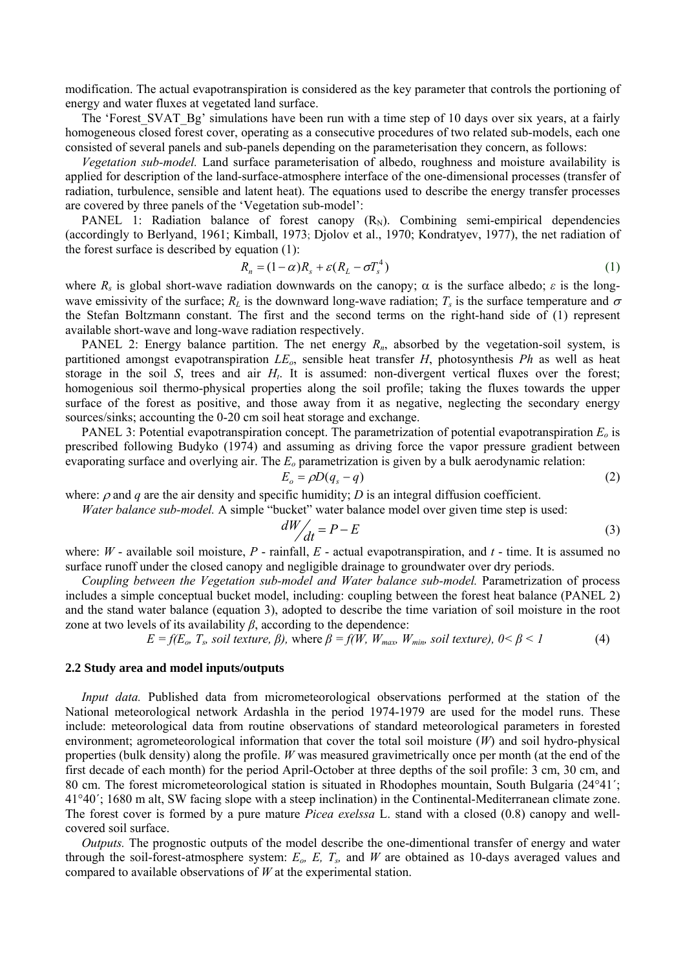modification. The actual evapotranspiration is considered as the key parameter that controls the portioning of energy and water fluxes at vegetated land surface.

The 'Forest SVAT Bg' simulations have been run with a time step of 10 days over six years, at a fairly homogeneous closed forest cover, operating as a consecutive procedures of two related sub-models, each one consisted of several panels and sub-panels depending on the parameterisation they concern, as follows:

*Vegetation sub-model.* Land surface parameterisation of albedo, roughness and moisture availability is applied for description of the land-surface-atmosphere interface of the one-dimensional processes (transfer of radiation, turbulence, sensible and latent heat). The equations used to describe the energy transfer processes are covered by three panels of the 'Vegetation sub-model':

PANEL 1: Radiation balance of forest canopy  $(R_N)$ . Combining semi-empirical dependencies (accordingly to Berlyand, 1961; Kimball, 1973; Djolov et al., 1970; Kondratyev, 1977), the net radiation of the forest surface is described by equation (1):

$$
R_n = (1 - \alpha)R_s + \varepsilon (R_L - \sigma T_s^4) \tag{1}
$$

where  $R_s$  is global short-wave radiation downwards on the canopy;  $\alpha$  is the surface albedo;  $\varepsilon$  is the longwave emissivity of the surface;  $R_L$  is the downward long-wave radiation;  $T_s$  is the surface temperature and  $\sigma$ the Stefan Boltzmann constant. The first and the second terms on the right-hand side of (1) represent available short-wave and long-wave radiation respectively.

PANEL 2: Energy balance partition. The net energy  $R_n$ , absorbed by the vegetation-soil system, is partitioned amongst evapotranspiration *LEo*, sensible heat transfer *H*, photosynthesis *Ph* as well as heat storage in the soil *S*, trees and air  $H_t$ . It is assumed: non-divergent vertical fluxes over the forest; homogenious soil thermo-physical properties along the soil profile; taking the fluxes towards the upper surface of the forest as positive, and those away from it as negative, neglecting the secondary energy sources/sinks; accounting the 0-20 cm soil heat storage and exchange.

PANEL 3: Potential evapotranspiration concept. The parametrization of potential evapotranspiration  $E_0$  is prescribed following Budyko (1974) and assuming as driving force the vapor pressure gradient between evaporating surface and overlying air. The *Eo* parametrization is given by a bulk aerodynamic relation:

$$
E_o = \rho D(q_s - q) \tag{2}
$$

where:  $\rho$  and  $q$  are the air density and specific humidity; *D* is an integral diffusion coefficient.

*Water balance sub-model.* A simple "bucket" water balance model over given time step is used:

$$
\frac{dW}{dt} = P - E \tag{3}
$$

where: *W* - available soil moisture, *P* - rainfall, *E* - actual evapotranspiration, and *t* - time. It is assumed no surface runoff under the closed canopy and negligible drainage to groundwater over dry periods.

*Coupling between the Vegetation sub-model and Water balance sub-model.* Parametrization of process includes a simple conceptual bucket model, including: coupling between the forest heat balance (PANEL 2) and the stand water balance (equation 3), adopted to describe the time variation of soil moisture in the root zone at two levels of its availability  $\beta$ , according to the dependence:

 $E = f(E_o, T_s, soil texture, \beta)$ , where  $\beta = f(W, W_{max}, W_{min}, soil texture), 0 < \beta < 1$  (4)

## **2.2 Study area and model inputs/outputs**

*Input data.* Published data from micrometeorological observations performed at the station of the National meteorological network Ardashla in the period 1974-1979 are used for the model runs. These include: meteorological data from routine observations of standard meteorological parameters in forested environment; agrometeorological information that cover the total soil moisture (*W*) and soil hydro-physical properties (bulk density) along the profile. *W* was measured gravimetrically once per month (at the end of the first decade of each month) for the period April-October at three depths of the soil profile: 3 cm, 30 cm, and 80 cm. The forest micrometeorological station is situated in Rhodophes mountain, South Bulgaria (24°41΄; 41°40΄; 1680 m alt, SW facing slope with a steep inclination) in the Continental-Mediterranean climate zone. The forest cover is formed by a pure mature *Picea exelssa* L. stand with a closed (0.8) canopy and wellcovered soil surface.

*Outputs.* The prognostic outputs of the model describe the one-dimentional transfer of energy and water through the soil-forest-atmosphere system: *Eo, E, Ts,* and *W* are obtained as 10-days averaged values and compared to available observations of *W* at the experimental station.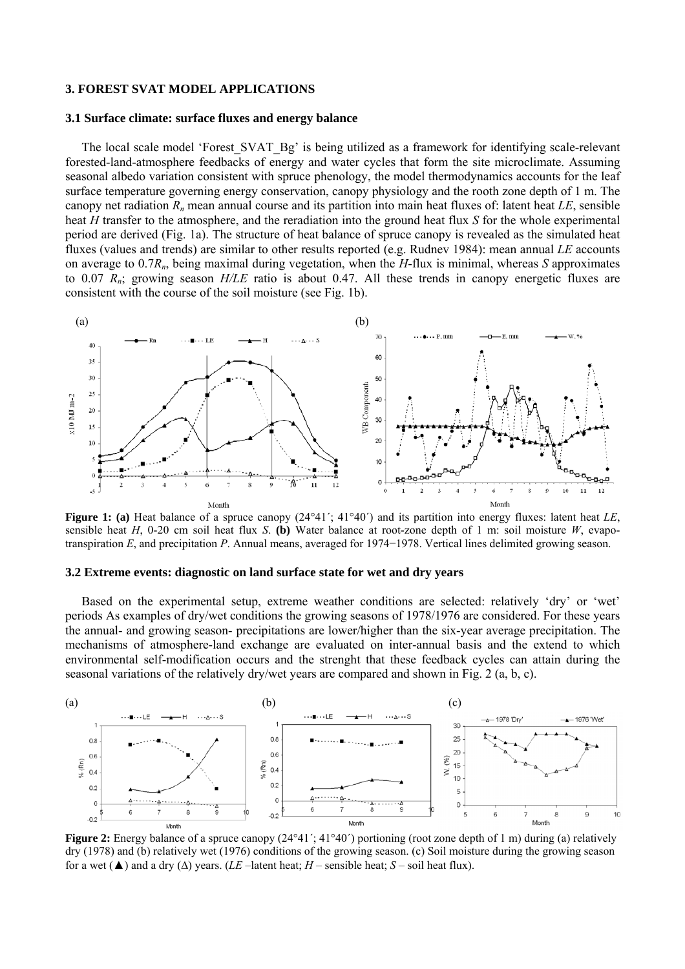### **3. FOREST SVAT MODEL APPLICATIONS**

#### **3.1 Surface climate: surface fluxes and energy balance**

The local scale model 'Forest SVAT Bg' is being utilized as a framework for identifying scale-relevant forested-land-atmosphere feedbacks of energy and water cycles that form the site microclimate. Assuming seasonal albedo variation consistent with spruce phenology, the model thermodynamics accounts for the leaf surface temperature governing energy conservation, canopy physiology and the rooth zone depth of 1 m. The canopy net radiation  $R_n$  mean annual course and its partition into main heat fluxes of: latent heat *LE*, sensible heat *H* transfer to the atmosphere, and the reradiation into the ground heat flux *S* for the whole experimental period are derived (Fig. 1a). The structure of heat balance of spruce canopy is revealed as the simulated heat fluxes (values and trends) are similar to other results reported (e.g. Rudnev 1984): mean annual *LE* accounts on average to 0.7*Rn*, being maximal during vegetation, when the *H*-flux is minimal, whereas *S* approximates to 0.07 *Rn*; growing season *H/LE* ratio is about 0.47. All these trends in canopy energetic fluxes are consistent with the course of the soil moisture (see Fig. 1b).



**Figure 1: (a)** Heat balance of a spruce canopy (24°41΄; 41°40΄) and its partition into energy fluxes: latent heat *LE*, sensible heat *H*, 0-20 cm soil heat flux *S*. **(b)** Water balance at root-zone depth of 1 m: soil moisture *W*, evapotranspiration *E*, and precipitation *P*. Annual means, averaged for 1974−1978. Vertical lines delimited growing season.

## **3.2 Extreme events: diagnostic on land surface state for wet and dry years**

Based on the experimental setup, extreme weather conditions are selected: relatively 'dry' or 'wet' periods As examples of dry/wet conditions the growing seasons of 1978/1976 are considered. For these years the annual- and growing season- precipitations are lower/higher than the six-year average precipitation. The mechanisms of atmosphere-land exchange are evaluated on inter-annual basis and the extend to which environmental self-modification occurs and the strenght that these feedback cycles can attain during the seasonal variations of the relatively dry/wet years are compared and shown in Fig. 2 (a, b, c).



**Figure 2:** Energy balance of a spruce canopy  $(24°41'$ ;  $41°40')$  portioning (root zone depth of 1 m) during (a) relatively dry (1978) and (b) relatively wet (1976) conditions of the growing season. (c) Soil moisture during the growing season for a wet  $(\triangle)$  and a dry  $(\triangle)$  years. (*LE* –latent heat; *H* – sensible heat; *S* – soil heat flux).